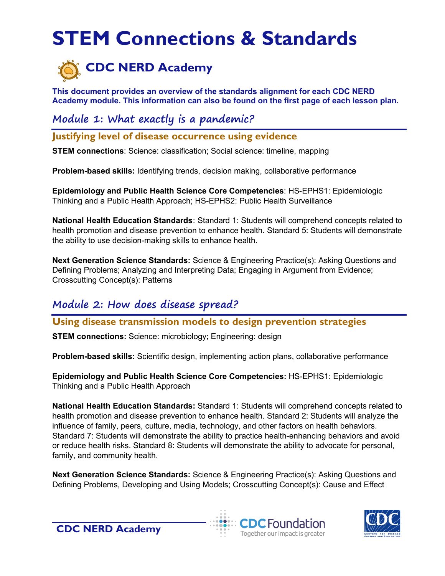# **STEM Connections & Standards**



**This document provides an overview of the standards alignment for each CDC NERD Academy module. This information can also be found on the first page of each lesson plan.**

**Module 1: What exactly is a pandemic?**

**Justifying level of disease occurrence using evidence**

**STEM connections**: Science: classification; Social science: timeline, mapping

**Problem-based skills:** Identifying trends, decision making, collaborative performance

**Epidemiology and Public Health Science Core Competencies**: HS-EPHS1: Epidemiologic Thinking and a Public Health Approach; HS-EPHS2: Public Health Surveillance

**National Health Education Standards:** Standard 1: Students will comprehend concepts related to health promotion and disease prevention to enhance health. Standard 5: Students will demonstrate the ability to use decision-making skills to enhance health.

**Next Generation Science Standards:** Science & Engineering Practice(s): Asking Questions and Defining Problems; Analyzing and Interpreting Data; Engaging in Argument from Evidence; Crosscutting Concept(s): Patterns

## **Module 2: How does disease spread?**

#### **Using disease transmission models to design prevention strategies**

**STEM connections:** Science: microbiology; Engineering: design

**Problem-based skills:** Scientific design, implementing action plans, collaborative performance

**[Epidemiology and Public Health Science Core Competencies:](https://www.cdc.gov/careerpaths/k12teacherroadmap/pdfs/ephs-competencies.pdf)** HS-EPHS1: Epidemiologic Thinking and a Public Health Approach

**[National Health Education Standards:](https://www.cdc.gov/healthyschools/sher/standards/index.htm)** Standard 1: Students will comprehend concepts related to health promotion and disease prevention to enhance health. Standard 2: Students will analyze the influence of family, peers, culture, media, technology, and other factors on health behaviors. Standard 7: Students will demonstrate the ability to practice health-enhancing behaviors and avoid or reduce health risks. Standard 8: Students will demonstrate the ability to advocate for personal, family, and community health.

**[Next Generation Science Standards:](http://www.nextgenscience.org/get-to-know)** Science & Engineering Practice(s): Asking Questions and Defining Problems, Developing and Using Models; Crosscutting Concept(s): Cause and Effect





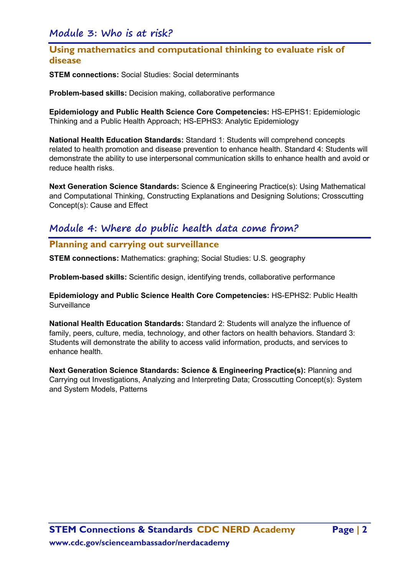#### **Module 3: Who is at risk?**

### **Using mathematics and computational thinking to evaluate risk of disease**

**STEM connections:** Social Studies: Social determinants

**Problem-based skills:** Decision making, collaborative performance

**Epidemiology and Public Health Science Core Competencies:** HS-EPHS1: Epidemiologic Thinking and a Public Health Approach; HS-EPHS3: Analytic Epidemiology

**National Health Education Standards:** Standard 1: Students will comprehend concepts related to health promotion and disease prevention to enhance health. Standard 4: Students will demonstrate the ability to use interpersonal communication skills to enhance health and avoid or reduce health risks.

**Next Generation Science Standards:** Science & Engineering Practice(s): Using Mathematical and Computational Thinking, Constructing Explanations and Designing Solutions; Crosscutting Concept(s): Cause and Effect

## **Module 4: Where do public health data come from?**

#### **Planning and carrying out surveillance**

**STEM connections:** Mathematics: graphing; Social Studies: U.S. geography

**Problem-based skills:** Scientific design, identifying trends, collaborative performance

**Epidemiology and Public Science Health Core Competencies:** HS-EPHS2: Public Health **Surveillance** 

**National Health Education Standards:** Standard 2: Students will analyze the influence of family, peers, culture, media, technology, and other factors on health behaviors. Standard 3: Students will demonstrate the ability to access valid information, products, and services to enhance health.

**Next Generation Science Standards: Science & Engineering Practice(s):** Planning and Carrying out Investigations, Analyzing and Interpreting Data; Crosscutting Concept(s): System and System Models, Patterns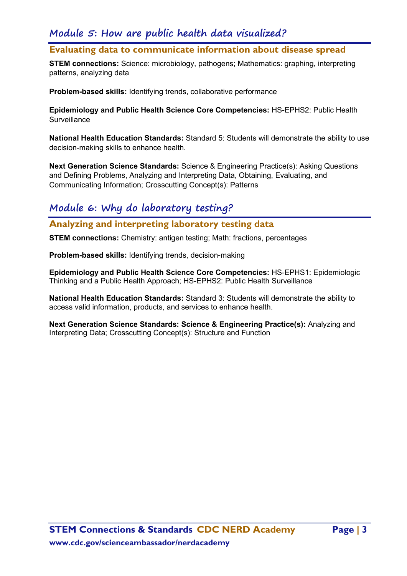## **Module 5: How are public health data visualized?**

#### **Evaluating data to communicate information about disease spread**

**STEM connections:** Science: microbiology, pathogens; Mathematics: graphing, interpreting patterns, analyzing data

**Problem-based skills:** Identifying trends, collaborative performance

**Epidemiology and Public Health Science Core Competencies:** HS-EPHS2: Public Health **Surveillance** 

**National Health Education Standards:** Standard 5: Students will demonstrate the ability to use decision-making skills to enhance health.

**Next Generation Science Standards:** Science & Engineering Practice(s): Asking Questions and Defining Problems, Analyzing and Interpreting Data, Obtaining, Evaluating, and Communicating Information; Crosscutting Concept(s): Patterns

# **Module 6: Why do laboratory testing?**

**Analyzing and interpreting laboratory testing data**

**STEM connections:** Chemistry: antigen testing; Math: fractions, percentages

**Problem-based skills:** Identifying trends, decision-making

**Epidemiology and Public Health Science Core Competencies:** HS-EPHS1: Epidemiologic Thinking and a Public Health Approach; HS-EPHS2: Public Health Surveillance

**National Health Education Standards:** Standard 3: Students will demonstrate the ability to access valid information, products, and services to enhance health.

**Next Generation Science Standards: Science & Engineering Practice(s):** Analyzing and Interpreting Data; Crosscutting Concept(s): Structure and Function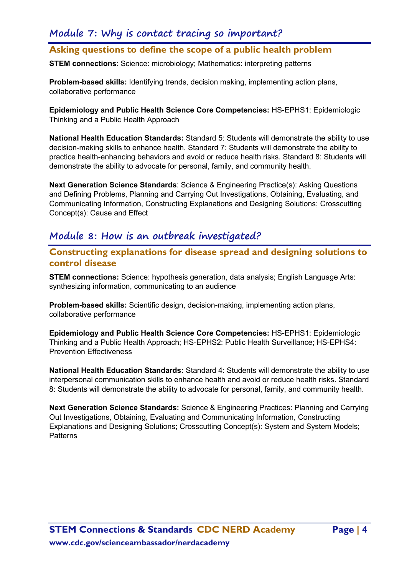# **Module 7: Why is contact tracing so important?**

## **Asking questions to define the scope of a public health problem**

**STEM connections**: Science: microbiology; Mathematics: interpreting patterns

**Problem-based skills:** Identifying trends, decision making, implementing action plans, collaborative performance

**Epidemiology and Public Health Science Core Competencies:** HS-EPHS1: Epidemiologic Thinking and a Public Health Approach

**National Health Education Standards:** Standard 5: Students will demonstrate the ability to use decision-making skills to enhance health. Standard 7: Students will demonstrate the ability to practice health-enhancing behaviors and avoid or reduce health risks. Standard 8: Students will demonstrate the ability to advocate for personal, family, and community health.

**Next Generation Science Standards**: Science & Engineering Practice(s): Asking Questions and Defining Problems, Planning and Carrying Out Investigations, Obtaining, Evaluating, and Communicating Information, Constructing Explanations and Designing Solutions; Crosscutting Concept(s): Cause and Effect

#### **Module 8: How is an outbreak investigated?**

**Constructing explanations for disease spread and designing solutions to control disease**

**STEM connections:** Science: hypothesis generation, data analysis; English Language Arts: synthesizing information, communicating to an audience

**Problem-based skills:** Scientific design, decision-making, implementing action plans, collaborative performance

**Epidemiology and Public Health Science Core Competencies:** HS-EPHS1: Epidemiologic Thinking and a Public Health Approach; HS-EPHS2: Public Health Surveillance; HS-EPHS4: Prevention Effectiveness

**National Health Education Standards:** Standard 4: Students will demonstrate the ability to use interpersonal communication skills to enhance health and avoid or reduce health risks. Standard 8: Students will demonstrate the ability to advocate for personal, family, and community health.

**Next Generation Science Standards:** Science & Engineering Practices: Planning and Carrying Out Investigations, Obtaining, Evaluating and Communicating Information, Constructing Explanations and Designing Solutions; Crosscutting Concept(s): System and System Models; **Patterns**